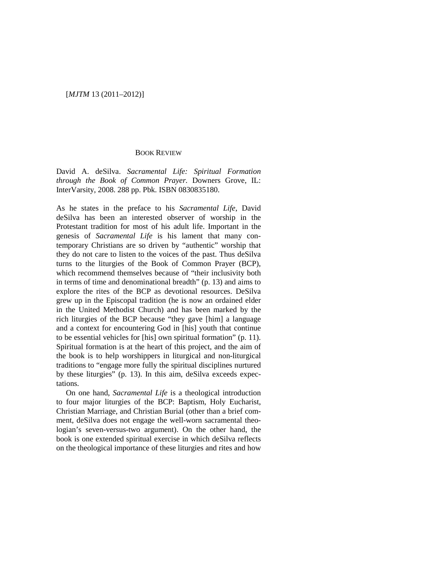## [*MJTM* 13 (2011–2012)]

## BOOK REVIEW

David A. deSilva. *Sacramental Life: Spiritual Formation through the Book of Common Prayer.* Downers Grove, IL: InterVarsity, 2008. 288 pp. Pbk. ISBN 0830835180.

As he states in the preface to his *Sacramental Life*, David deSilva has been an interested observer of worship in the Protestant tradition for most of his adult life. Important in the genesis of *Sacramental Life* is his lament that many contemporary Christians are so driven by "authentic" worship that they do not care to listen to the voices of the past. Thus deSilva turns to the liturgies of the Book of Common Prayer (BCP), which recommend themselves because of "their inclusivity both in terms of time and denominational breadth" (p. 13) and aims to explore the rites of the BCP as devotional resources. DeSilva grew up in the Episcopal tradition (he is now an ordained elder in the United Methodist Church) and has been marked by the rich liturgies of the BCP because "they gave [him] a language and a context for encountering God in [his] youth that continue to be essential vehicles for [his] own spiritual formation" (p. 11). Spiritual formation is at the heart of this project, and the aim of the book is to help worshippers in liturgical and non-liturgical traditions to "engage more fully the spiritual disciplines nurtured by these liturgies" (p. 13). In this aim, deSilva exceeds expectations.

On one hand, *Sacramental Life* is a theological introduction to four major liturgies of the BCP: Baptism, Holy Eucharist, Christian Marriage, and Christian Burial (other than a brief comment, deSilva does not engage the well-worn sacramental theologian's seven-versus-two argument). On the other hand, the book is one extended spiritual exercise in which deSilva reflects on the theological importance of these liturgies and rites and how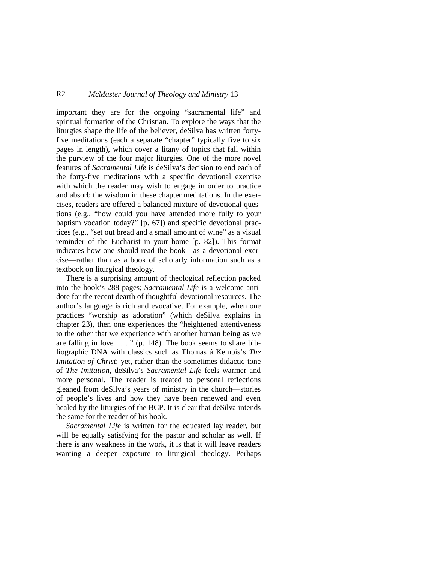## R2 *McMaster Journal of Theology and Ministry* 13

important they are for the ongoing "sacramental life" and spiritual formation of the Christian. To explore the ways that the liturgies shape the life of the believer, deSilva has written fortyfive meditations (each a separate "chapter" typically five to six pages in length), which cover a litany of topics that fall within the purview of the four major liturgies. One of the more novel features of *Sacramental Life* is deSilva's decision to end each of the forty-five meditations with a specific devotional exercise with which the reader may wish to engage in order to practice and absorb the wisdom in these chapter meditations. In the exercises, readers are offered a balanced mixture of devotional questions (e.g., "how could you have attended more fully to your baptism vocation today?" [p. 67]) and specific devotional practices (e.g., "set out bread and a small amount of wine" as a visual reminder of the Eucharist in your home [p. 82]). This format indicates how one should read the book—as a devotional exercise—rather than as a book of scholarly information such as a textbook on liturgical theology.

There is a surprising amount of theological reflection packed into the book's 288 pages; *Sacramental Life* is a welcome antidote for the recent dearth of thoughtful devotional resources. The author's language is rich and evocative. For example, when one practices "worship as adoration" (which deSilva explains in chapter 23), then one experiences the "heightened attentiveness to the other that we experience with another human being as we are falling in love . . . " (p. 148). The book seems to share bibliographic DNA with classics such as Thomas á Kempis's *The Imitation of Christ*; yet, rather than the sometimes-didactic tone of *The Imitation*, deSilva's *Sacramental Life* feels warmer and more personal. The reader is treated to personal reflections gleaned from deSilva's years of ministry in the church—stories of people's lives and how they have been renewed and even healed by the liturgies of the BCP. It is clear that deSilva intends the same for the reader of his book.

*Sacramental Life* is written for the educated lay reader, but will be equally satisfying for the pastor and scholar as well. If there is any weakness in the work, it is that it will leave readers wanting a deeper exposure to liturgical theology. Perhaps